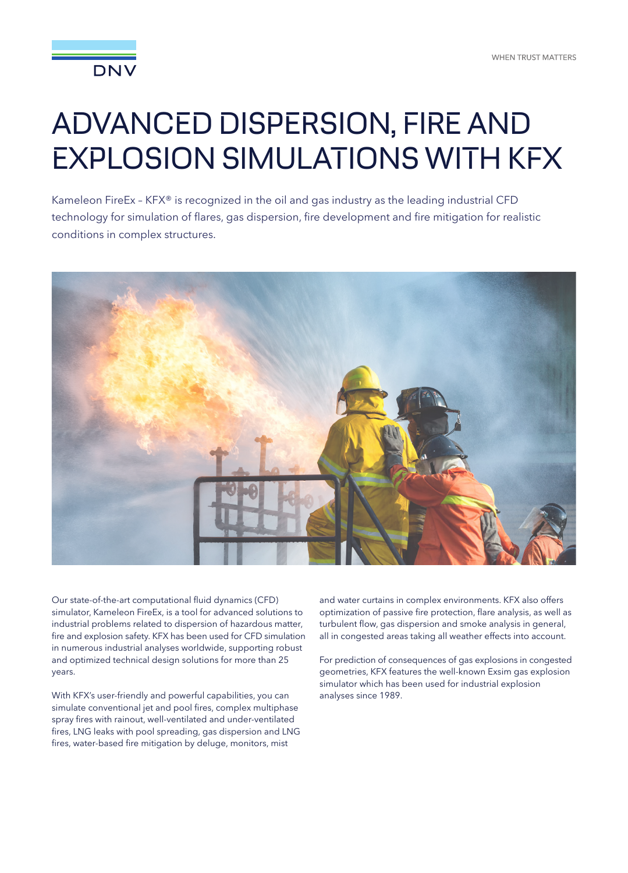

## ADVANCED DISPERSION, FIRE AND EXPLOSION SIMULATIONS WITH KFX

Kameleon FireEx – KFX® is recognized in the oil and gas industry as the leading industrial CFD technology for simulation of flares, gas dispersion, fire development and fire mitigation for realistic conditions in complex structures.



Our state-of-the-art computational fluid dynamics (CFD) simulator, Kameleon FireEx, is a tool for advanced solutions to industrial problems related to dispersion of hazardous matter, fire and explosion safety. KFX has been used for CFD simulation in numerous industrial analyses worldwide, supporting robust and optimized technical design solutions for more than 25 years.

With KFX's user-friendly and powerful capabilities, you can simulate conventional jet and pool fires, complex multiphase spray fires with rainout, well-ventilated and under-ventilated fires, LNG leaks with pool spreading, gas dispersion and LNG fires, water-based fire mitigation by deluge, monitors, mist

and water curtains in complex environments. KFX also offers optimization of passive fire protection, flare analysis, as well as turbulent flow, gas dispersion and smoke analysis in general, all in congested areas taking all weather effects into account.

For prediction of consequences of gas explosions in congested geometries, KFX features the well-known Exsim gas explosion simulator which has been used for industrial explosion analyses since 1989.